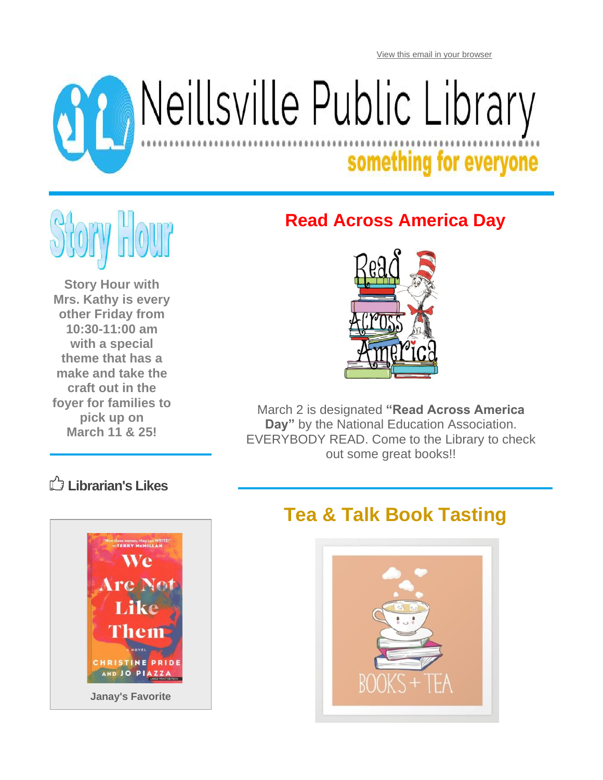[View this email in your browser](https://mailchi.mp/47a67654e7b6/1fbawdsb3u-11424034?e=05956643bd)

# Reillsville Public Library

## something for everyone



**Story Hour with Mrs. Kathy is every other Friday from 10:30-11:00 am with a special theme that has a make and take the craft out in the foyer for families to pick up on March 11 & 25!**

#### **Read Across America Day**



March 2 is designated **"Read Across America Day"** by the National Education Association. EVERYBODY READ. Come to the Library to check out some great books!!

#### **Librarian's Likes**



#### **Tea & Talk Book Tasting**

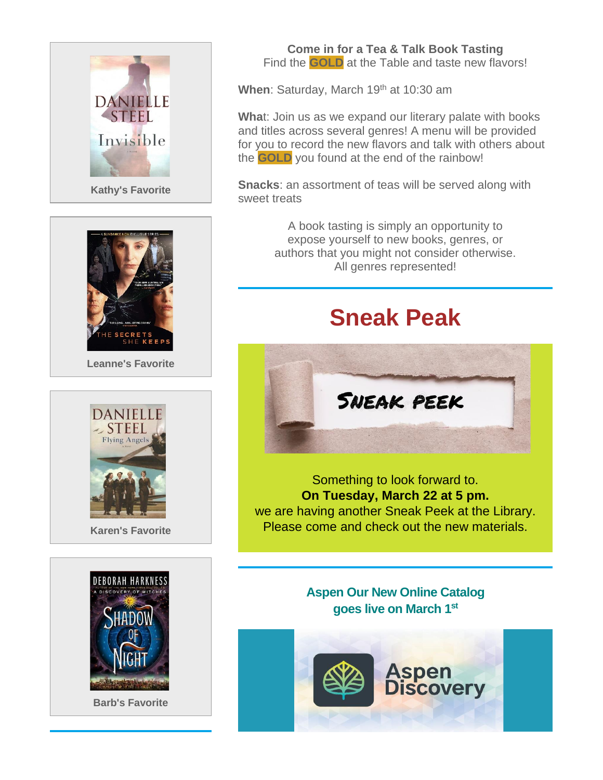

**Kathy's Favorite**



**Leanne's Favorite**





**Barb's Favorite**

**Come in for a Tea & Talk Book Tasting** Find the **GOLD** at the Table and taste new flavors!

When: Saturday, March 19<sup>th</sup> at 10:30 am

**Wha**t: Join us as we expand our literary palate with books and titles across several genres! A menu will be provided for you to record the new flavors and talk with others about the **GOLD** you found at the end of the rainbow!

**Snacks**: an assortment of teas will be served along with sweet treats

> A book tasting is simply an opportunity to expose yourself to new books, genres, or authors that you might not consider otherwise. All genres represented!

## **Sneak Peak**



Something to look forward to. **On Tuesday, March 22 at 5 pm.** we are having another Sneak Peek at the Library. Please come and check out the new materials.

> **Aspen Our New Online Catalog goes live on March 1st**